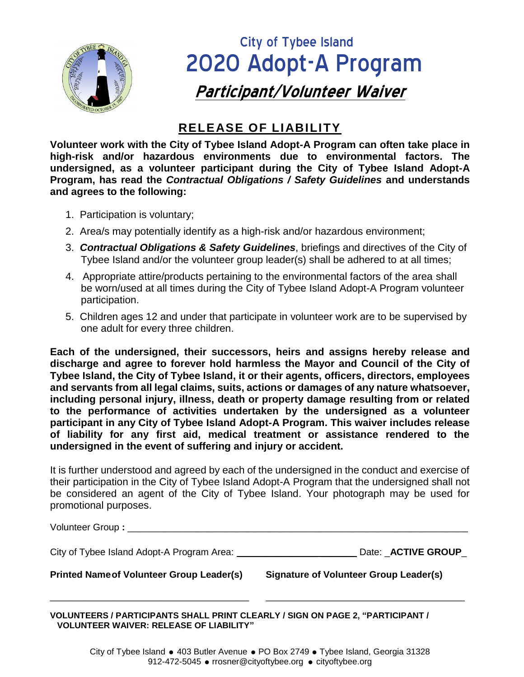

## City of Tybee Island 2020 Adopt-A Program  **Participant/Volunteer Waiver**

## **RELEASE OF LIABILITY**

**Volunteer work with the City of Tybee Island Adopt-A Program can often take place in high-risk and/or hazardous environments due to environmental factors. The undersigned, as a volunteer participant during the City of Tybee Island Adopt-A Program, has read the** *Contractual Obligations / Safety Guidelines* **and understands and agrees to the following:**

- 1. Participation is voluntary;
- 2. Area/s may potentially identify as a high-risk and/or hazardous environment;
- 3. *Contractual Obligations & Safety Guidelines*, briefings and directives of the City of Tybee Island and/or the volunteer group leader(s) shall be adhered to at all times;
- 4. Appropriate attire/products pertaining to the environmental factors of the area shall be worn/used at all times during the City of Tybee Island Adopt-A Program volunteer participation.
- 5. Children ages 12 and under that participate in volunteer work are to be supervised by one adult for every three children.

**Each of the undersigned, their successors, heirs and assigns hereby release and discharge and agree to forever hold harmless the Mayor and Council of the City of Tybee Island, the City of Tybee Island, it or their agents, officers, directors, employees and servants from all legal claims, suits, actions or damages of any nature whatsoever, including personal injury, illness, death or property damage resulting from or related to the performance of activities undertaken by the undersigned as a volunteer participant in any City of Tybee Island Adopt-A Program. This waiver includes release of liability for any first aid, medical treatment or assistance rendered to the undersigned in the event of suffering and injury or accident.**

It is further understood and agreed by each of the undersigned in the conduct and exercise of their participation in the City of Tybee Island Adopt-A Program that the undersigned shall not be considered an agent of the City of Tybee Island. Your photograph may be used for promotional purposes.

| <b>Printed Name of Volunteer Group Leader(s)</b> | Signature of Volunteer Group Leader(s) |
|--------------------------------------------------|----------------------------------------|
| City of Tybee Island Adopt-A Program Area:       | Date: <b>ACTIVE GROUP</b>              |
| Volunteer Group: _________                       |                                        |

\_\_\_\_\_\_\_\_\_\_\_\_\_\_\_\_\_\_\_\_\_\_\_\_\_\_\_\_\_\_\_\_\_\_\_\_\_\_ \_\_\_\_\_\_\_\_\_\_\_\_\_\_\_\_\_\_\_\_\_\_\_\_\_\_\_\_\_\_\_\_\_\_\_\_\_\_

**VOLUNTEERS / PARTICIPANTS SHALL PRINT CLEARLY / SIGN ON PAGE 2, "PARTICIPANT / VOLUNTEER WAIVER: RELEASE OF LIABILITY"**